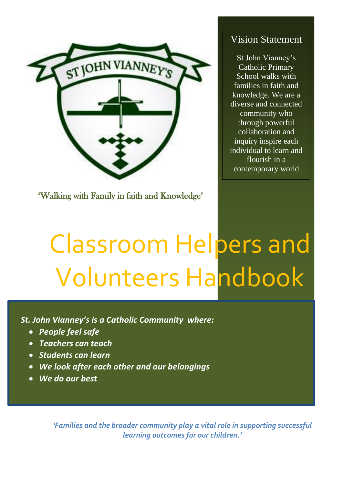

'Walking with Family in faith and Knowledge'

# Vision Statement

St John Vianney's Catholic Primary School walks with families in faith and knowledge. We are a diverse and connected community who through powerful collaboration and inquiry inspire each individual to learn and flourish in a contemporary world

# Classroom Helpers and Volunteers Handbook

*St. John Vianney's is a Catholic Community where:*

- *People feel safe*
- *Teachers can teach*
- *Students can learn*
- *We look after each other and our belongings*
- *We do our best*

*'Families and the broader community play a vital role in supporting successful learning outcomes for our children.'*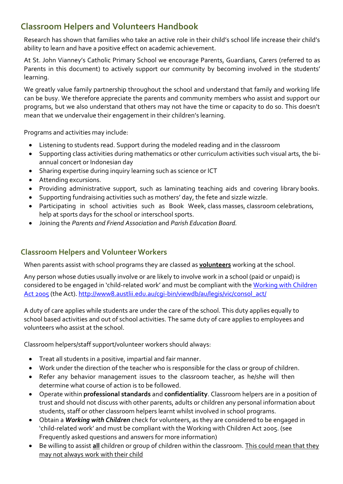## **Classroom Helpers and Volunteers Handbook**

Research has shown that families who take an active role in their child's school life increase their child's ability to learn and have a positive effect on academic achievement.

At St. John Vianney's Catholic Primary School we encourage Parents, Guardians, Carers (referred to as Parents in this document) to actively support our community by becoming involved in the students' learning.

We greatly value family partnership throughout the school and understand that family and working life can be busy. We therefore appreciate the parents and community members who assist and support our programs, but we also understand that others may not have the time or capacity to do so. This doesn't mean that we undervalue their engagement in their children's learning.

Programs and activities may include:

- Listening to students read. Support during the modeled reading and in the classroom
- Supporting class activities during mathematics or other curriculum activities such visual arts, the biannual concert or Indonesian day
- Sharing expertise during inquiry learning such as science or ICT
- Attending excursions.
- Providing administrative support, such as laminating teaching aids and covering library books.
- Supporting fundraising activities such as mothers' day, the fete and sizzle wizzle.
- Participating in school activities such as Book Week, class masses, classroom celebrations, help at sports days for the school or interschool sports.
- Joining the *Parents and Friend Association* and *Parish Education Board.*

#### **Classroom Helpers and Volunteer Workers**

When parents assist with school programs they are classed as **volunteers** working at the school.

Any person whose duties usually involve or are likely to involve work in a school (paid or unpaid) is considered to be engaged in 'child-related work' and must be compliant with the Working with Children [Act 2005](http://www8.austlii.edu.au/cgi-bin/viewdb/au/legis/vic/consol_act/wwca2005232/) (the Act). http://www8.austlii.edu.au/cqi-bin/viewdb/au/legis/vic/consol\_act/

A duty of care applies while students are under the care of the school. This duty applies equally to school based activities and out of school activities. The same duty of care applies to employees and volunteers who assist at the school.

Classroom helpers/staff support/volunteer workers should always:

- Treat all students in a positive, impartial and fair manner.
- Work under the direction of the teacher who is responsible for the class or group of children.
- Refer any behavior management issues to the classroom teacher, as he/she will then determine what course of action is to be followed.
- Operate within **professional standards** and **confidentiality**. Classroom helpers are in a position of trust and should not discuss with other parents, adults or children any personal information about students, staff or other classroom helpers learnt whilst involved in school programs.
- Obtain a *Working with Children* check for volunteers, as they are considered to be engaged in 'child-related work' and must be compliant with the Working with Children Act 2005. (see Frequently asked questions and answers for more information)
- Be willing to assist **all** children or group of children within the classroom. This could mean that they may not always work with their child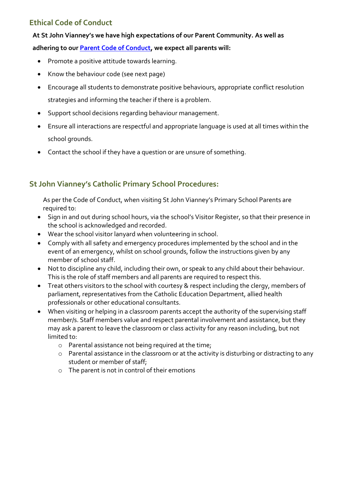#### **Ethical Code of Conduct**

#### **At St John Vianney's we have high expectations of our Parent Community. As well as**

#### **adhering to our [Parent Code of Conduct,](http://www.sjvmulgrave.catholic.edu.au/_uploads/ppage/files/Parent%20Guardian%20Code%20of%20Conduct%202019.pdf) we expect all parents will:**

- Promote a positive attitude towards learning.
- Know the behaviour code (see next page)
- Encourage all students to demonstrate positive behaviours, appropriate conflict resolution strategies and informing the teacher if there is a problem.
- Support school decisions regarding behaviour management.
- Ensure all interactions are respectful and appropriate language is used at all times within the school grounds.
- Contact the school if they have a question or are unsure of something.

#### **St John Vianney's Catholic Primary School Procedures:**

As per the Code of Conduct, when visiting St John Vianney's Primary School Parents are required to:

- Sign in and out during school hours, via the school's Visitor Register, so that their presence in the school is acknowledged and recorded.
- Wear the school visitor lanyard when volunteering in school.
- Comply with all safety and emergency procedures implemented by the school and in the event of an emergency, whilst on school grounds, follow the instructions given by any member of school staff.
- Not to discipline any child, including their own, or speak to any child about their behaviour. This is the role of staff members and all parents are required to respect this.
- Treat others visitors to the school with courtesy & respect including the clergy, members of parliament, representatives from the Catholic Education Department, allied health professionals or other educational consultants.
- When visiting or helping in a classroom parents accept the authority of the supervising staff member/s. Staff members value and respect parental involvement and assistance, but they may ask a parent to leave the classroom or class activity for any reason including, but not limited to:
	- o Parental assistance not being required at the time;
	- o Parental assistance in the classroom or at the activity is disturbing or distracting to any student or member of staff;
	- o The parent is not in control of their emotions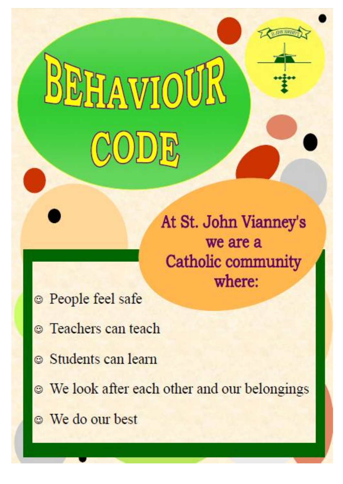# At St. John Vianney's we are a Catholic community where:

- **People feel safe**
- **C** Teachers can teach

RAWIOL

- Students can learn
- <sup>®</sup> We look after each other and our belongings
- **We do our best**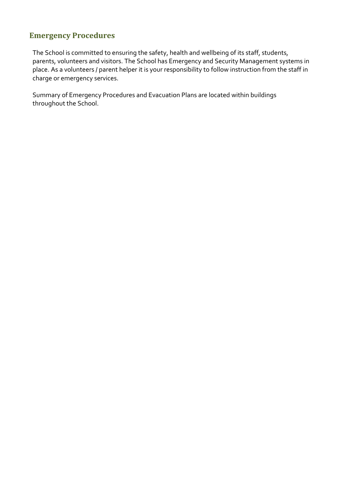#### **Emergency Procedures**

The School is committed to ensuring the safety, health and wellbeing of its staff, students, parents, volunteers and visitors. The School has Emergency and Security Management systems in place. As a volunteers / parent helper it is your responsibility to follow instruction from the staff in charge or emergency services.

Summary of Emergency Procedures and Evacuation Plans are located within buildings throughout the School.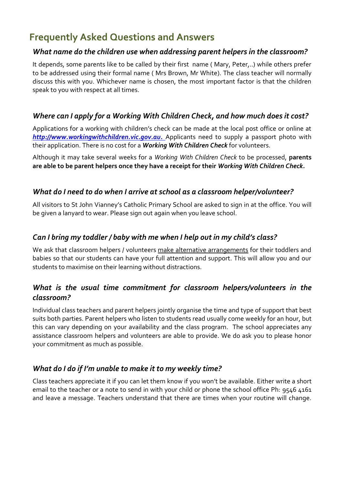# **Frequently Asked Questions and Answers**

#### *What name do the children use when addressing parent helpers in the classroom?*

It depends, some parents like to be called by their first name ( Mary, Peter,..) while others prefer to be addressed using their formal name ( Mrs Brown, Mr White). The class teacher will normally discuss this with you. Whichever name is chosen, the most important factor is that the children speak to you with respect at all times.

#### *Where can I apply for a Working With Children Check, and how much does it cost?*

Applications for a working with children's check can be made at the local post office or online at *http://www.workingwithchildren.vic.gov.au.* Applicants need to supply a passport photo with their application. There is no cost for a *Working With Children Check* for volunteers.

Although it may take several weeks for a *Working With Children Check* to be processed, **parents are able to be parent helpers once they have a receipt for their** *Working With Children Check.*

#### *What do I need to do when I arrive at school as a classroom helper/volunteer?*

All visitors to St John Vianney's Catholic Primary School are asked to sign in at the office. You will be given a lanyard to wear. Please sign out again when you leave school.

#### *Can I bring my toddler / baby with me when I help out in my child's class?*

We ask that classroom helpers / volunteers make alternative arrangements for their toddlers and babies so that our students can have your full attention and support. This will allow you and our students to maximise on their learning without distractions.

#### *What is the usual time commitment for classroom helpers/volunteers in the classroom?*

Individual class teachers and parent helpers jointly organise the time and type of support that best suits both parties. Parent helpers who listen to students read usually come weekly for an hour, but this can vary depending on your availability and the class program. The school appreciates any assistance classroom helpers and volunteers are able to provide. We do ask you to please honor your commitment as much as possible.

#### *What do I do if I'm unable to make it to my weekly time?*

Class teachers appreciate it if you can let them know if you won't be available. Either write a short email to the teacher or a note to send in with your child or phone the school office Ph: 9546 4161 and leave a message. Teachers understand that there are times when your routine will change.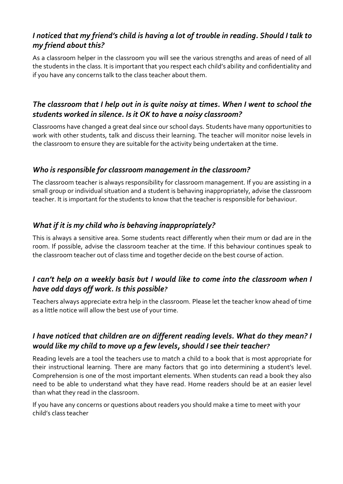#### *I noticed that my friend's child is having a lot of trouble in reading. Should I talk to my friend about this?*

As a classroom helper in the classroom you will see the various strengths and areas of need of all the students in the class. It is important that you respect each child's ability and confidentiality and if you have any concerns talk to the class teacher about them.

#### *The classroom that I help out in is quite noisy at times. When I went to school the students worked in silence. Is it OK to have a noisy classroom?*

Classrooms have changed a great deal since our school days. Students have many opportunities to work with other students, talk and discuss their learning. The teacher will monitor noise levels in the classroom to ensure they are suitable for the activity being undertaken at the time.

#### *Who is responsible for classroom management in the classroom?*

The classroom teacher is always responsibility for classroom management. If you are assisting in a small group or individual situation and a student is behaving inappropriately, advise the classroom teacher. It is important for the students to know that the teacher is responsible for behaviour.

#### *What if it is my child who is behaving inappropriately?*

This is always a sensitive area. Some students react differently when their mum or dad are in the room. If possible, advise the classroom teacher at the time. If this behaviour continues speak to the classroom teacher out of class time and together decide on the best course of action.

#### *I can't help on a weekly basis but I would like to come into the classroom when I have odd days off work. Is this possible?*

Teachers always appreciate extra help in the classroom. Please let the teacher know ahead of time as a little notice will allow the best use of your time.

#### *I have noticed that children are on different reading levels. What do they mean? I would like my child to move up a few levels, should I see their teacher?*

Reading levels are a tool the teachers use to match a child to a book that is most appropriate for their instructional learning. There are many factors that go into determining a student's level. Comprehension is one of the most important elements. When students can read a book they also need to be able to understand what they have read. Home readers should be at an easier level than what they read in the classroom.

If you have any concerns or questions about readers you should make a time to meet with your child's class teacher